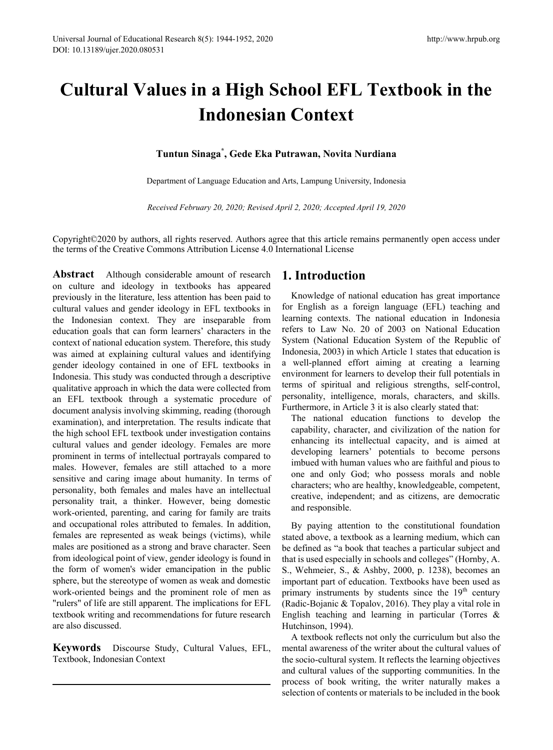# **Cultural Values in a High School EFL Textbook in the Indonesian Context**

## **Tuntun Sinaga\* , Gede Eka Putrawan, Novita Nurdiana**

Department of Language Education and Arts, Lampung University, Indonesia

*Received February 20, 2020; Revised April 2, 2020; Accepted April 19, 2020*

Copyright©2020 by authors, all rights reserved. Authors agree that this article remains permanently open access under the terms of the Creative Commons Attribution License 4.0 International License

**Abstract** Although considerable amount of research on culture and ideology in textbooks has appeared previously in the literature, less attention has been paid to cultural values and gender ideology in EFL textbooks in the Indonesian context. They are inseparable from education goals that can form learners' characters in the context of national education system. Therefore, this study was aimed at explaining cultural values and identifying gender ideology contained in one of EFL textbooks in Indonesia. This study was conducted through a descriptive qualitative approach in which the data were collected from an EFL textbook through a systematic procedure of document analysis involving skimming, reading (thorough examination), and interpretation. The results indicate that the high school EFL textbook under investigation contains cultural values and gender ideology. Females are more prominent in terms of intellectual portrayals compared to males. However, females are still attached to a more sensitive and caring image about humanity. In terms of personality, both females and males have an intellectual personality trait, a thinker. However, being domestic work-oriented, parenting, and caring for family are traits and occupational roles attributed to females. In addition, females are represented as weak beings (victims), while males are positioned as a strong and brave character. Seen from ideological point of view, gender ideology is found in the form of women's wider emancipation in the public sphere, but the stereotype of women as weak and domestic work-oriented beings and the prominent role of men as "rulers" of life are still apparent. The implications for EFL textbook writing and recommendations for future research are also discussed.

**Keywords** Discourse Study, Cultural Values, EFL, Textbook, Indonesian Context

# **1. Introduction**

Knowledge of national education has great importance for English as a foreign language (EFL) teaching and learning contexts. The national education in Indonesia refers to Law No. 20 of 2003 on National Education System (National Education System of the Republic of Indonesia, 2003) in which Article 1 states that education is a well-planned effort aiming at creating a learning environment for learners to develop their full potentials in terms of spiritual and religious strengths, self-control, personality, intelligence, morals, characters, and skills. Furthermore, in Article 3 it is also clearly stated that:

The national education functions to develop the capability, character, and civilization of the nation for enhancing its intellectual capacity, and is aimed at developing learners' potentials to become persons imbued with human values who are faithful and pious to one and only God; who possess morals and noble characters; who are healthy, knowledgeable, competent, creative, independent; and as citizens, are democratic and responsible.

By paying attention to the constitutional foundation stated above, a textbook as a learning medium, which can be defined as "a book that teaches a particular subject and that is used especially in schools and colleges" (Hornby, A. S., Wehmeier, S., & Ashby, 2000, p. 1238), becomes an important part of education. Textbooks have been used as primary instruments by students since the  $19<sup>th</sup>$  century (Radic-Bojanic & Topalov, 2016). They play a vital role in English teaching and learning in particular (Torres & Hutchinson, 1994).

A textbook reflects not only the curriculum but also the mental awareness of the writer about the cultural values of the socio-cultural system. It reflects the learning objectives and cultural values of the supporting communities. In the process of book writing, the writer naturally makes a selection of contents or materials to be included in the book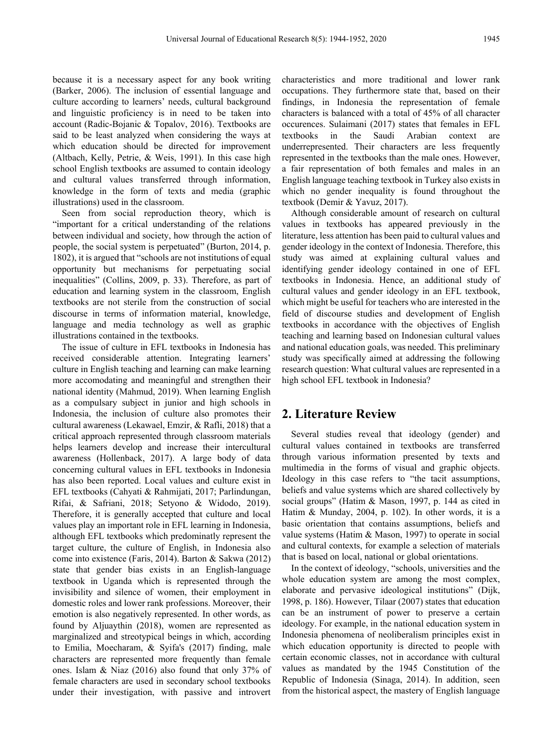because it is a necessary aspect for any book writing (Barker, 2006). The inclusion of essential language and culture according to learners' needs, cultural background and linguistic proficiency is in need to be taken into account (Radic-Bojanic & Topalov, 2016). Textbooks are said to be least analyzed when considering the ways at which education should be directed for improvement (Altbach, Kelly, Petrie, & Weis, 1991). In this case high school English textbooks are assumed to contain ideology and cultural values transferred through information, knowledge in the form of texts and media (graphic illustrations) used in the classroom.

Seen from social reproduction theory, which is "important for a critical understanding of the relations between individual and society, how through the action of people, the social system is perpetuated" (Burton, 2014, p. 1802), it is argued that "schools are not institutions of equal opportunity but mechanisms for perpetuating social inequalities" (Collins, 2009, p. 33). Therefore, as part of education and learning system in the classroom, English textbooks are not sterile from the construction of social discourse in terms of information material, knowledge, language and media technology as well as graphic illustrations contained in the textbooks.

The issue of culture in EFL textbooks in Indonesia has received considerable attention. Integrating learners' culture in English teaching and learning can make learning more accomodating and meaningful and strengthen their national identity (Mahmud, 2019). When learning English as a compulsary subject in junior and high schools in Indonesia, the inclusion of culture also promotes their cultural awareness (Lekawael, Emzir, & Rafli, 2018) that a critical approach represented through classroom materials helps learners develop and increase their intercultural awareness (Hollenback, 2017). A large body of data concerning cultural values in EFL textbooks in Indonesia has also been reported. Local values and culture exist in EFL textbooks (Cahyati & Rahmijati, 2017; Parlindungan, Rifai, & Safriani, 2018; Setyono & Widodo, 2019). Therefore, it is generally accepted that culture and local values play an important role in EFL learning in Indonesia, although EFL textbooks which predominatly represent the target culture, the culture of English, in Indonesia also come into existence (Faris, 2014). Barton & Sakwa (2012) state that gender bias exists in an English-language textbook in Uganda which is represented through the invisibility and silence of women, their employment in domestic roles and lower rank professions. Moreover, their emotion is also negatively represented. In other words, as found by Aljuaythin (2018), women are represented as marginalized and streotypical beings in which, according to Emilia, Moecharam, & Syifa's (2017) finding, male characters are represented more frequently than female ones. Islam & Niaz (2016) also found that only 37% of female characters are used in secondary school textbooks under their investigation, with passive and introvert

characteristics and more traditional and lower rank occupations. They furthermore state that, based on their findings, in Indonesia the representation of female characters is balanced with a total of 45% of all character occurences. Sulaimani (2017) states that females in EFL textbooks in the Saudi Arabian context are underrepresented. Their characters are less frequently represented in the textbooks than the male ones. However, a fair representation of both females and males in an English language teaching textbook in Turkey also exists in which no gender inequality is found throughout the textbook (Demir & Yavuz, 2017).

Although considerable amount of research on cultural values in textbooks has appeared previously in the literature, less attention has been paid to cultural values and gender ideology in the context of Indonesia. Therefore, this study was aimed at explaining cultural values and identifying gender ideology contained in one of EFL textbooks in Indonesia. Hence, an additional study of cultural values and gender ideology in an EFL textbook, which might be useful for teachers who are interested in the field of discourse studies and development of English textbooks in accordance with the objectives of English teaching and learning based on Indonesian cultural values and national education goals, was needed. This preliminary study was specifically aimed at addressing the following research question: What cultural values are represented in a high school EFL textbook in Indonesia?

## **2. Literature Review**

Several studies reveal that ideology (gender) and cultural values contained in textbooks are transferred through various information presented by texts and multimedia in the forms of visual and graphic objects. Ideology in this case refers to "the tacit assumptions, beliefs and value systems which are shared collectively by social groups" (Hatim & Mason, 1997, p. 144 as cited in Hatim & Munday, 2004, p. 102). In other words, it is a basic orientation that contains assumptions, beliefs and value systems (Hatim & Mason, 1997) to operate in social and cultural contexts, for example a selection of materials that is based on local, national or global orientations.

In the context of ideology, "schools, universities and the whole education system are among the most complex, elaborate and pervasive ideological institutions" (Dijk, 1998, p. 186). However, Tilaar (2007) states that education can be an instrument of power to preserve a certain ideology. For example, in the national education system in Indonesia phenomena of neoliberalism principles exist in which education opportunity is directed to people with certain economic classes, not in accordance with cultural values as mandated by the 1945 Constitution of the Republic of Indonesia (Sinaga, 2014). In addition, seen from the historical aspect, the mastery of English language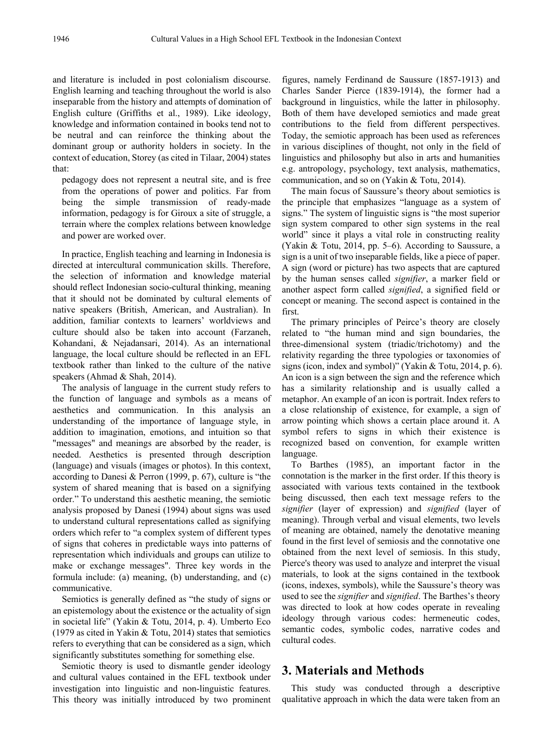and literature is included in post colonialism discourse. English learning and teaching throughout the world is also inseparable from the history and attempts of domination of English culture (Griffiths et al., 1989). Like ideology, knowledge and information contained in books tend not to be neutral and can reinforce the thinking about the dominant group or authority holders in society. In the context of education, Storey (as cited in Tilaar, 2004) states that:

pedagogy does not represent a neutral site, and is free from the operations of power and politics. Far from being the simple transmission of ready-made information, pedagogy is for Giroux a site of struggle, a terrain where the complex relations between knowledge and power are worked over.

In practice, English teaching and learning in Indonesia is directed at intercultural communication skills. Therefore, the selection of information and knowledge material should reflect Indonesian socio-cultural thinking, meaning that it should not be dominated by cultural elements of native speakers (British, American, and Australian). In addition, familiar contexts to learners' worldviews and culture should also be taken into account (Farzaneh, Kohandani, & Nejadansari, 2014). As an international language, the local culture should be reflected in an EFL textbook rather than linked to the culture of the native speakers (Ahmad & Shah, 2014).

The analysis of language in the current study refers to the function of language and symbols as a means of aesthetics and communication. In this analysis an understanding of the importance of language style, in addition to imagination, emotions, and intuition so that "messages" and meanings are absorbed by the reader, is needed. Aesthetics is presented through description (language) and visuals (images or photos). In this context, according to Danesi & Perron (1999, p. 67), culture is "the system of shared meaning that is based on a signifying order." To understand this aesthetic meaning, the semiotic analysis proposed by Danesi (1994) about signs was used to understand cultural representations called as signifying orders which refer to "a complex system of different types of signs that coheres in predictable ways into patterns of representation which individuals and groups can utilize to make or exchange messages". Three key words in the formula include: (a) meaning, (b) understanding, and (c) communicative.

Semiotics is generally defined as "the study of signs or an epistemology about the existence or the actuality of sign in societal life" (Yakin & Totu, 2014, p. 4). Umberto Eco (1979 as cited in Yakin & Totu, 2014) states that semiotics refers to everything that can be considered as a sign, which significantly substitutes something for something else.

Semiotic theory is used to dismantle gender ideology and cultural values contained in the EFL textbook under investigation into linguistic and non-linguistic features. This theory was initially introduced by two prominent figures, namely Ferdinand de Saussure (1857-1913) and Charles Sander Pierce (1839-1914), the former had a background in linguistics, while the latter in philosophy. Both of them have developed semiotics and made great contributions to the field from different perspectives. Today, the semiotic approach has been used as references in various disciplines of thought, not only in the field of linguistics and philosophy but also in arts and humanities e.g. antropology, psychology, text analysis, mathematics, communication, and so on (Yakin & Totu, 2014).

The main focus of Saussure's theory about semiotics is the principle that emphasizes "language as a system of signs." The system of linguistic signs is "the most superior sign system compared to other sign systems in the real world" since it plays a vital role in constructing reality (Yakin & Totu, 2014, pp. 5–6). According to Saussure, a sign is a unit of two inseparable fields, like a piece of paper. A sign (word or picture) has two aspects that are captured by the human senses called *signifier*, a marker field or another aspect form called *signified*, a signified field or concept or meaning. The second aspect is contained in the first.

The primary principles of Peirce's theory are closely related to "the human mind and sign boundaries, the three-dimensional system (triadic/trichotomy) and the relativity regarding the three typologies or taxonomies of signs (icon, index and symbol)" (Yakin & Totu, 2014, p. 6). An icon is a sign between the sign and the reference which has a similarity relationship and is usually called a metaphor. An example of an icon is portrait. Index refers to a close relationship of existence, for example, a sign of arrow pointing which shows a certain place around it. A symbol refers to signs in which their existence is recognized based on convention, for example written language.

To Barthes (1985), an important factor in the connotation is the marker in the first order. If this theory is associated with various texts contained in the textbook being discussed, then each text message refers to the *signifier* (layer of expression) and *signified* (layer of meaning). Through verbal and visual elements, two levels of meaning are obtained, namely the denotative meaning found in the first level of semiosis and the connotative one obtained from the next level of semiosis. In this study, Pierce's theory was used to analyze and interpret the visual materials, to look at the signs contained in the textbook (icons, indexes, symbols), while the Saussure's theory was used to see the *signifier* and *signified*. The Barthes's theory was directed to look at how codes operate in revealing ideology through various codes: hermeneutic codes, semantic codes, symbolic codes, narrative codes and cultural codes.

## **3. Materials and Methods**

This study was conducted through a descriptive qualitative approach in which the data were taken from an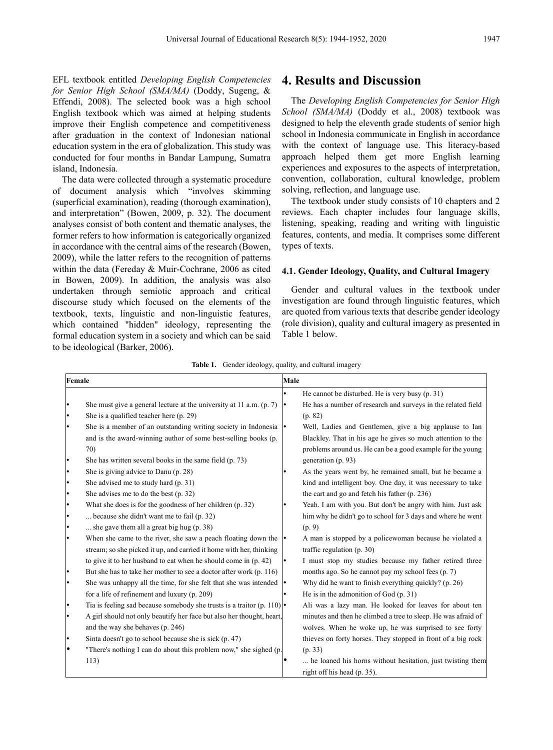EFL textbook entitled *Developing English Competencies for Senior High School (SMA/MA)* (Doddy, Sugeng, & Effendi, 2008). The selected book was a high school English textbook which was aimed at helping students improve their English competence and competitiveness after graduation in the context of Indonesian national education system in the era of globalization. This study was conducted for four months in Bandar Lampung, Sumatra island, Indonesia.

The data were collected through a systematic procedure of document analysis which "involves skimming (superficial examination), reading (thorough examination), and interpretation" (Bowen, 2009, p. 32). The document analyses consist of both content and thematic analyses, the former refers to how information is categorically organized in accordance with the central aims of the research (Bowen, 2009), while the latter refers to the recognition of patterns within the data (Fereday & Muir-Cochrane, 2006 as cited in Bowen, 2009). In addition, the analysis was also undertaken through semiotic approach and critical discourse study which focused on the elements of the textbook, texts, linguistic and non-linguistic features, which contained "hidden" ideology, representing the formal education system in a society and which can be said to be ideological (Barker, 2006).

## **4. Results and Discussion**

The *Developing English Competencies for Senior High School (SMA/MA)* (Doddy et al., 2008) textbook was designed to help the eleventh grade students of senior high school in Indonesia communicate in English in accordance with the context of language use. This literacy-based approach helped them get more English learning experiences and exposures to the aspects of interpretation, convention, collaboration, cultural knowledge, problem solving, reflection, and language use.

The textbook under study consists of 10 chapters and 2 reviews. Each chapter includes four language skills, listening, speaking, reading and writing with linguistic features, contents, and media. It comprises some different types of texts.

#### **4.1. Gender Ideology, Quality, and Cultural Imagery**

Gender and cultural values in the textbook under investigation are found through linguistic features, which are quoted from various texts that describe gender ideology (role division), quality and cultural imagery as presented in Table 1 below.

|  | <b>Table 1.</b> Gender ideology, quality, and cultural imagery |  |  |  |
|--|----------------------------------------------------------------|--|--|--|
|--|----------------------------------------------------------------|--|--|--|

| Female    |                                                                                             | Male                                                              |  |
|-----------|---------------------------------------------------------------------------------------------|-------------------------------------------------------------------|--|
|           |                                                                                             | He cannot be disturbed. He is very busy (p. 31)                   |  |
|           | She must give a general lecture at the university at 11 a.m. $(p, 7)$                       | He has a number of research and surveys in the related field<br>٠ |  |
|           | She is a qualified teacher here (p. 29)                                                     | (p. 82)                                                           |  |
|           | She is a member of an outstanding writing society in Indonesia                              | Well, Ladies and Gentlemen, give a big applause to Ian            |  |
|           | and is the award-winning author of some best-selling books (p.                              | Blackley. That in his age he gives so much attention to the       |  |
|           | 70)                                                                                         | problems around us. He can be a good example for the young        |  |
|           | She has written several books in the same field (p. 73)                                     | generation (p. 93)                                                |  |
|           | She is giving advice to Danu (p. 28)                                                        | As the years went by, he remained small, but he became a          |  |
|           | She advised me to study hard (p. 31)                                                        | kind and intelligent boy. One day, it was necessary to take       |  |
|           | She advises me to do the best (p. 32)                                                       | the cart and go and fetch his father (p. 236)                     |  |
|           | What she does is for the goodness of her children (p. 32)                                   | Yeah. I am with you. But don't be angry with him. Just ask        |  |
|           | because she didn't want me to fail (p. 32)                                                  | him why he didn't go to school for 3 days and where he went       |  |
| $\bullet$ | she gave them all a great big hug $(p. 38)$                                                 | (p. 9)                                                            |  |
|           | When she came to the river, she saw a peach floating down the                               | A man is stopped by a policewoman because he violated a           |  |
|           | stream; so she picked it up, and carried it home with her, thinking                         | traffic regulation $(p. 30)$                                      |  |
|           | to give it to her husband to eat when he should come in (p. 42)                             | I must stop my studies because my father retired three            |  |
| $\bullet$ | But she has to take her mother to see a doctor after work (p. 116)                          | months ago. So he cannot pay my school fees (p. 7)                |  |
|           | She was unhappy all the time, for she felt that she was intended                            | Why did he want to finish everything quickly? (p. 26)             |  |
|           | for a life of refinement and luxury (p. 209)                                                | He is in the admonition of God (p. 31)                            |  |
|           | Tia is feeling sad because somebody she trusts is a traitor (p. 110) $\left  \cdot \right $ | Ali was a lazy man. He looked for leaves for about ten            |  |
| $\bullet$ | A girl should not only beautify her face but also her thought, heart,                       | minutes and then he climbed a tree to sleep. He was afraid of     |  |
|           | and the way she behaves (p. 246)                                                            | wolves. When he woke up, he was surprised to see forty            |  |
|           | Sinta doesn't go to school because she is sick (p. 47)                                      | thieves on forty horses. They stopped in front of a big rock      |  |
| $\bullet$ | "There's nothing I can do about this problem now," she sighed (p.                           | (p. 33)                                                           |  |
|           | 113)                                                                                        | he loaned his horns without hesitation, just twisting them        |  |
|           |                                                                                             | right off his head (p. 35).                                       |  |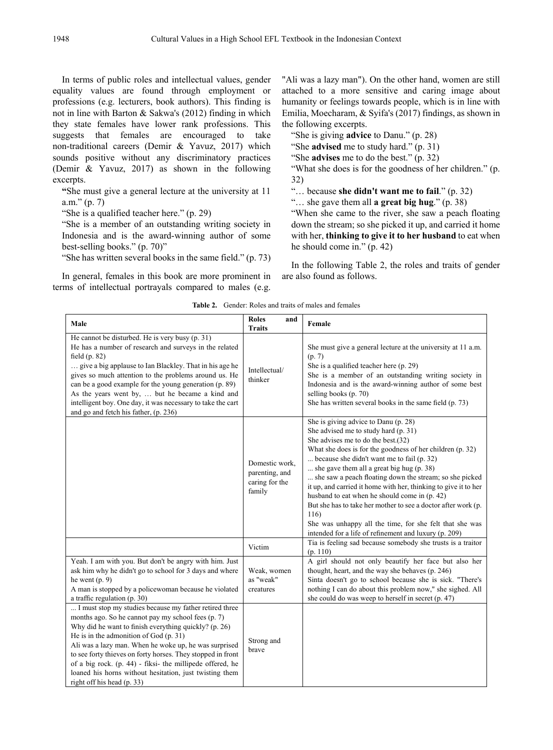In terms of public roles and intellectual values, gender equality values are found through employment or professions (e.g. lecturers, book authors). This finding is not in line with Barton & Sakwa's (2012) finding in which they state females have lower rank professions. This suggests that females are encouraged to take non-traditional careers (Demir & Yavuz, 2017) which sounds positive without any discriminatory practices (Demir & Yavuz, 2017) as shown in the following excerpts.

**"**She must give a general lecture at the university at 11 a.m." (p. 7)

"She is a qualified teacher here." (p. 29)

"She is a member of an outstanding writing society in Indonesia and is the award-winning author of some best-selling books." (p. 70)"

"She has written several books in the same field." (p. 73)

In general, females in this book are more prominent in terms of intellectual portrayals compared to males (e.g.

"Ali was a lazy man"). On the other hand, women are still attached to a more sensitive and caring image about humanity or feelings towards people, which is in line with Emilia, Moecharam, & Syifa's (2017) findings, as shown in the following excerpts.

"She is giving **advice** to Danu." (p. 28)

"She **advised** me to study hard." (p. 31)

"She **advises** me to do the best." (p. 32)

"What she does is for the goodness of her children." (p. 32)

"… because **she didn't want me to fail**." (p. 32)

"… she gave them all **a great big hug**." (p. 38)

"When she came to the river, she saw a peach floating down the stream; so she picked it up, and carried it home with her, **thinking to give it to her husband** to eat when he should come in." (p. 42)

In the following Table 2, the roles and traits of gender are also found as follows.

| Male                                                                                                                                                                                                                                                                                                                                                                                                                                                                                            | <b>Roles</b><br>and<br><b>Traits</b>                         | Female                                                                                                                                                                                                                                                                                                                                                                                                                                                                                                                                                                                                                                                    |
|-------------------------------------------------------------------------------------------------------------------------------------------------------------------------------------------------------------------------------------------------------------------------------------------------------------------------------------------------------------------------------------------------------------------------------------------------------------------------------------------------|--------------------------------------------------------------|-----------------------------------------------------------------------------------------------------------------------------------------------------------------------------------------------------------------------------------------------------------------------------------------------------------------------------------------------------------------------------------------------------------------------------------------------------------------------------------------------------------------------------------------------------------------------------------------------------------------------------------------------------------|
| He cannot be disturbed. He is very busy (p. 31)<br>He has a number of research and surveys in the related<br>field $(p. 82)$<br>give a big applause to Ian Blackley. That in his age he<br>gives so much attention to the problems around us. He<br>can be a good example for the young generation (p. 89)<br>As the years went by,  but he became a kind and<br>intelligent boy. One day, it was necessary to take the cart<br>and go and fetch his father, (p. 236)                           | Intellectual/<br>thinker                                     | She must give a general lecture at the university at 11 a.m.<br>(p. 7)<br>She is a qualified teacher here (p. 29)<br>She is a member of an outstanding writing society in<br>Indonesia and is the award-winning author of some best<br>selling books (p. 70)<br>She has written several books in the same field (p. 73)                                                                                                                                                                                                                                                                                                                                   |
|                                                                                                                                                                                                                                                                                                                                                                                                                                                                                                 | Domestic work.<br>parenting, and<br>caring for the<br>family | She is giving advice to Danu (p. 28)<br>She advised me to study hard (p. 31)<br>She advises me to do the best. (32)<br>What she does is for the goodness of her children (p. 32)<br>because she didn't want me to fail (p. 32)<br>she gave them all a great big hug $(p. 38)$<br>she saw a peach floating down the stream; so she picked<br>it up, and carried it home with her, thinking to give it to her<br>husband to eat when he should come in (p. 42)<br>But she has to take her mother to see a doctor after work (p.<br>116)<br>She was unhappy all the time, for she felt that she was<br>intended for a life of refinement and luxury (p. 209) |
|                                                                                                                                                                                                                                                                                                                                                                                                                                                                                                 | Victim                                                       | Tia is feeling sad because somebody she trusts is a traitor<br>(p. 110)                                                                                                                                                                                                                                                                                                                                                                                                                                                                                                                                                                                   |
| Yeah. I am with you. But don't be angry with him. Just<br>ask him why he didn't go to school for 3 days and where<br>he went $(p, 9)$<br>A man is stopped by a policewoman because he violated<br>a traffic regulation $(p. 30)$                                                                                                                                                                                                                                                                | Weak, women<br>as "weak"<br>creatures                        | A girl should not only beautify her face but also her<br>thought, heart, and the way she behaves (p. 246)<br>Sinta doesn't go to school because she is sick. "There's<br>nothing I can do about this problem now," she sighed. All<br>she could do was weep to herself in secret (p. 47)                                                                                                                                                                                                                                                                                                                                                                  |
| I must stop my studies because my father retired three<br>months ago. So he cannot pay my school fees (p. 7)<br>Why did he want to finish everything quickly? (p. 26)<br>He is in the admonition of God $(p. 31)$<br>Ali was a lazy man. When he woke up, he was surprised<br>to see forty thieves on forty horses. They stopped in front<br>of a big rock. (p. 44) - fiksi- the millipede offered, he<br>loaned his horns without hesitation, just twisting them<br>right off his head (p. 33) | Strong and<br>brave                                          |                                                                                                                                                                                                                                                                                                                                                                                                                                                                                                                                                                                                                                                           |

**Table 2.** Gender: Roles and traits of males and females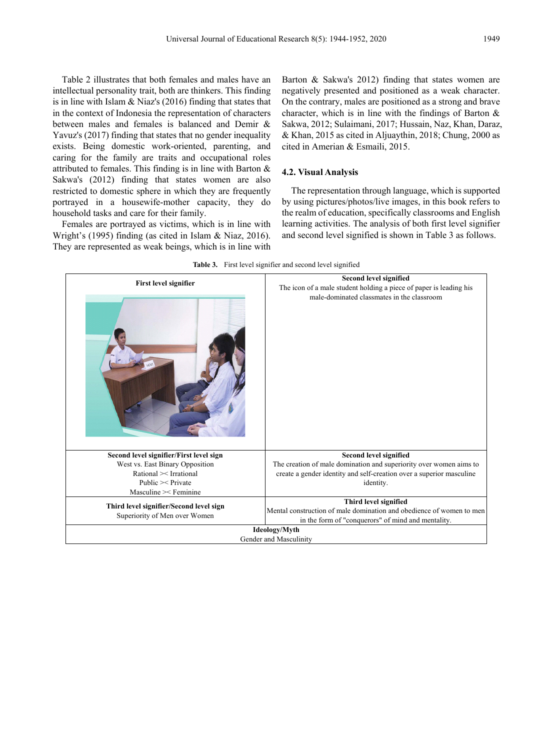Table 2 illustrates that both females and males have an intellectual personality trait, both are thinkers. This finding is in line with Islam & Niaz's (2016) finding that states that in the context of Indonesia the representation of characters between males and females is balanced and Demir & Yavuz's (2017) finding that states that no gender inequality exists. Being domestic work-oriented, parenting, and caring for the family are traits and occupational roles attributed to females. This finding is in line with Barton & Sakwa's (2012) finding that states women are also restricted to domestic sphere in which they are frequently portrayed in a housewife-mother capacity, they do household tasks and care for their family.

Females are portrayed as victims, which is in line with Wright's (1995) finding (as cited in Islam & Niaz, 2016). They are represented as weak beings, which is in line with Barton & Sakwa's 2012) finding that states women are negatively presented and positioned as a weak character. On the contrary, males are positioned as a strong and brave character, which is in line with the findings of Barton & Sakwa, 2012; Sulaimani, 2017; Hussain, Naz, Khan, Daraz, & Khan, 2015 as cited in Aljuaythin, 2018; Chung, 2000 as cited in Amerian & Esmaili, 2015.

#### **4.2. Visual Analysis**

The representation through language, which is supported by using pictures/photos/live images, in this book refers to the realm of education, specifically classrooms and English learning activities. The analysis of both first level signifier and second level signified is shown in Table 3 as follows.



**Table 3.** First level signifier and second level signified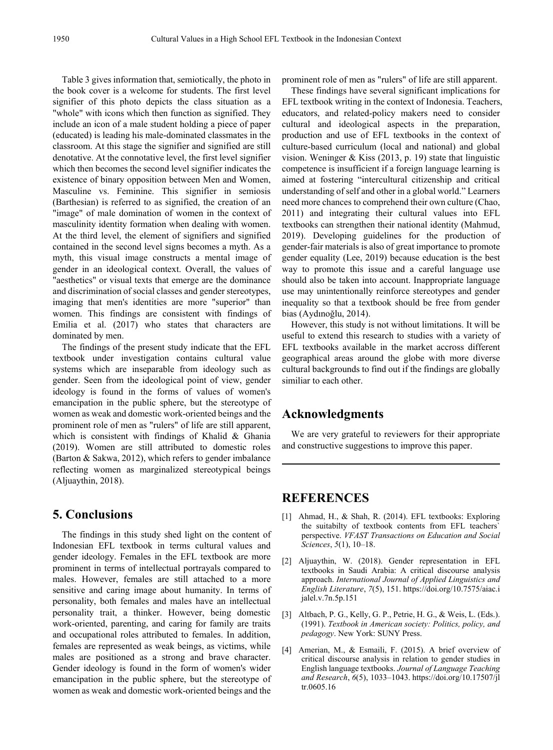Table 3 gives information that, semiotically, the photo in the book cover is a welcome for students. The first level signifier of this photo depicts the class situation as a "whole" with icons which then function as signified. They include an icon of a male student holding a piece of paper (educated) is leading his male-dominated classmates in the classroom. At this stage the signifier and signified are still denotative. At the connotative level, the first level signifier which then becomes the second level signifier indicates the existence of binary opposition between Men and Women, Masculine vs. Feminine. This signifier in semiosis (Barthesian) is referred to as signified, the creation of an "image" of male domination of women in the context of masculinity identity formation when dealing with women. At the third level, the element of signifiers and signified contained in the second level signs becomes a myth. As a myth, this visual image constructs a mental image of gender in an ideological context. Overall, the values of "aesthetics" or visual texts that emerge are the dominance and discrimination of social classes and gender stereotypes, imaging that men's identities are more "superior" than women. This findings are consistent with findings of Emilia et al. (2017) who states that characters are dominated by men.

The findings of the present study indicate that the EFL textbook under investigation contains cultural value systems which are inseparable from ideology such as gender. Seen from the ideological point of view, gender ideology is found in the forms of values of women's emancipation in the public sphere, but the stereotype of women as weak and domestic work-oriented beings and the prominent role of men as "rulers" of life are still apparent, which is consistent with findings of Khalid & Ghania (2019). Women are still attributed to domestic roles (Barton & Sakwa, 2012), which refers to gender imbalance reflecting women as marginalized stereotypical beings (Aljuaythin, 2018).

# **5. Conclusions**

The findings in this study shed light on the content of Indonesian EFL textbook in terms cultural values and gender ideology. Females in the EFL textbook are more prominent in terms of intellectual portrayals compared to males. However, females are still attached to a more sensitive and caring image about humanity. In terms of personality, both females and males have an intellectual personality trait, a thinker. However, being domestic work-oriented, parenting, and caring for family are traits and occupational roles attributed to females. In addition, females are represented as weak beings, as victims, while males are positioned as a strong and brave character. Gender ideology is found in the form of women's wider emancipation in the public sphere, but the stereotype of women as weak and domestic work-oriented beings and the

prominent role of men as "rulers" of life are still apparent.

These findings have several significant implications for EFL textbook writing in the context of Indonesia. Teachers, educators, and related-policy makers need to consider cultural and ideological aspects in the preparation, production and use of EFL textbooks in the context of culture-based curriculum (local and national) and global vision. Weninger & Kiss (2013, p. 19) state that linguistic competence is insufficient if a foreign language learning is aimed at fostering "intercultural citizenship and critical understanding of self and other in a global world." Learners need more chances to comprehend their own culture (Chao, 2011) and integrating their cultural values into EFL textbooks can strengthen their national identity (Mahmud, 2019). Developing guidelines for the production of gender-fair materials is also of great importance to promote gender equality (Lee, 2019) because education is the best way to promote this issue and a careful language use should also be taken into account. Inappropriate language use may unintentionally reinforce stereotypes and gender inequality so that a textbook should be free from gender bias (Aydınoğlu, 2014).

However, this study is not without limitations. It will be useful to extend this research to studies with a variety of EFL textbooks available in the market accross different geographical areas around the globe with more diverse cultural backgrounds to find out if the findings are globally similiar to each other.

# **Acknowledgments**

We are very grateful to reviewers for their appropriate and constructive suggestions to improve this paper.

## **REFERENCES**

- [1] Ahmad, H., & Shah, R. (2014). EFL textbooks: Exploring the suitabilty of textbook contents from EFL teachers` perspective. *VFAST Transactions on Education and Social Sciences*, *5*(1), 10–18.
- [2] Aljuaythin, W. (2018). Gender representation in EFL textbooks in Saudi Arabia: A critical discourse analysis approach. *International Journal of Applied Linguistics and English Literature*, *7*(5), 151. https://doi.org/10.7575/aiac.i jalel.v.7n.5p.151
- [3] Altbach, P. G., Kelly, G. P., Petrie, H. G., & Weis, L. (Eds.). (1991). *Textbook in American society: Politics, policy, and pedagogy*. New York: SUNY Press.
- [4] Amerian, M., & Esmaili, F. (2015). A brief overview of critical discourse analysis in relation to gender studies in English language textbooks. *Journal of Language Teaching and Research*, *6*(5), 1033–1043. https://doi.org/10.17507/jl tr.0605.16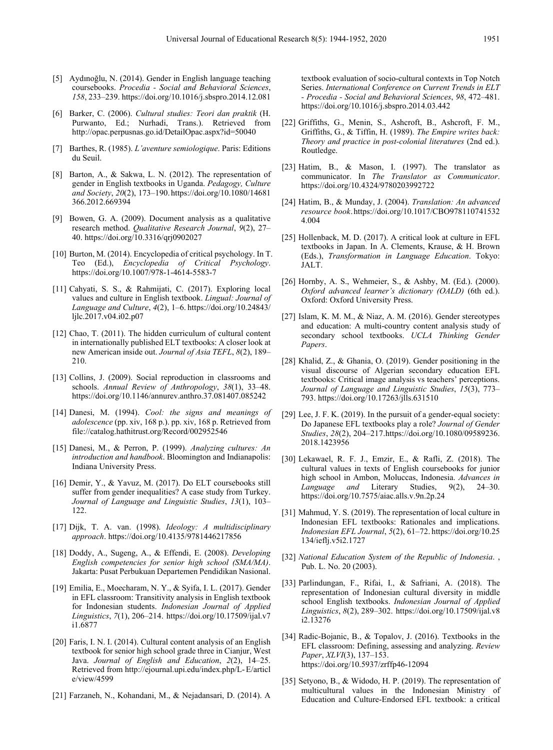- [5] Aydınoğlu, N. (2014). Gender in English language teaching coursebooks. *Procedia - Social and Behavioral Sciences*, *158*, 233–239. https://doi.org/10.1016/j.sbspro.2014.12.081
- [6] Barker, C. (2006). *Cultural studies: Teori dan praktik* (H. Purwanto, Ed.; Nurhadi, Trans.). Retrieved from http://opac.perpusnas.go.id/DetailOpac.aspx?id=50040
- [7] Barthes, R. (1985). *L'aventure semiologique*. Paris: Editions du Seuil.
- [8] Barton, A., & Sakwa, L. N. (2012). The representation of gender in English textbooks in Uganda. *Pedagogy, Culture and Society*, *20*(2), 173–190.https://doi.org/10.1080/14681 366.2012.669394
- [9] Bowen, G. A. (2009). Document analysis as a qualitative research method. *Qualitative Research Journal*, *9*(2), 27– 40. https://doi.org/10.3316/qrj0902027
- [10] Burton, M. (2014). Encyclopedia of critical psychology. In T. Teo (Ed.), *Encyclopedia of Critical Psychology*. https://doi.org/10.1007/978-1-4614-5583-7
- [11] Cahyati, S. S., & Rahmijati, C. (2017). Exploring local values and culture in English textbook. *Lingual: Journal of Language and Culture*, *4*(2), 1–6. https://doi.org/10.24843/ ljlc.2017.v04.i02.p07
- [12] Chao, T. (2011). The hidden curriculum of cultural content in internationally published ELT textbooks: A closer look at new American inside out. *Journal of Asia TEFL*, *8*(2), 189– 210.
- [13] Collins, J. (2009). Social reproduction in classrooms and schools. *Annual Review of Anthropology*, *38*(1), 33–48. https://doi.org/10.1146/annurev.anthro.37.081407.085242
- [14] Danesi, M. (1994). *Cool: the signs and meanings of adolescence* (pp. xiv, 168 p.). pp. xiv, 168 p. Retrieved from file://catalog.hathitrust.org/Record/002952546
- [15] Danesi, M., & Perron, P. (1999). *Analyzing cultures: An introduction and handbook*. Bloomington and Indianapolis: Indiana University Press.
- [16] Demir, Y., & Yavuz, M. (2017). Do ELT coursebooks still suffer from gender inequalities? A case study from Turkey. *Journal of Language and Linguistic Studies*, *13*(1), 103– 122.
- [17] Dijk, T. A. van. (1998). *Ideology: A multidisciplinary approach*. https://doi.org/10.4135/9781446217856
- [18] Doddy, A., Sugeng, A., & Effendi, E. (2008). *Developing English competencies for senior high school (SMA/MA)*. Jakarta: Pusat Perbukuan Departemen Pendidikan Nasional.
- [19] Emilia, E., Moecharam, N. Y., & Syifa, I. L. (2017). Gender in EFL classroom: Transitivity analysis in English textbook for Indonesian students. *Indonesian Journal of Applied Linguistics*, *7*(1), 206–214. https://doi.org/10.17509/ijal.v7 i1.6877
- [20] Faris, I. N. I. (2014). Cultural content analysis of an English textbook for senior high school grade three in Cianjur, West Java. *Journal of English and Education*, *2*(2), 14–25. Retrieved from http://ejournal.upi.edu/index.php/L-E/articl e/view/4599
- [21] Farzaneh, N., Kohandani, M., & Nejadansari, D. (2014). A

textbook evaluation of socio-cultural contexts in Top Notch Series. *International Conference on Current Trends in ELT - Procedia - Social and Behavioral Sciences*, *98*, 472–481. https://doi.org/10.1016/j.sbspro.2014.03.442

- [22] Griffiths, G., Menin, S., Ashcroft, B., Ashcroft, F. M., Griffiths, G., & Tiffin, H. (1989). *The Empire writes back: Theory and practice in post-colonial literatures* (2nd ed.). Routledge.
- [23] Hatim, B., & Mason, I. (1997). The translator as communicator. In *The Translator as Communicator*. https://doi.org/10.4324/9780203992722
- [24] Hatim, B., & Munday, J. (2004). *Translation: An advanced resource book*.https://doi.org/10.1017/CBO978110741532 4.004
- [25] Hollenback, M. D. (2017). A critical look at culture in EFL textbooks in Japan. In A. Clements, Krause, & H. Brown (Eds.), *Transformation in Language Education*. Tokyo: JALT.
- [26] Hornby, A. S., Wehmeier, S., & Ashby, M. (Ed.). (2000). *Oxford advanced learner's dictionary (OALD)* (6th ed.). Oxford: Oxford University Press.
- [27] Islam, K. M. M., & Niaz, A. M. (2016). Gender stereotypes and education: A multi-country content analysis study of secondary school textbooks. *UCLA Thinking Gender Papers*.
- [28] Khalid, Z., & Ghania, O. (2019). Gender positioning in the visual discourse of Algerian secondary education EFL textbooks: Critical image analysis vs teachers' perceptions. *Journal of Language and Linguistic Studies*, *15*(3), 773– 793. https://doi.org/10.17263/jlls.631510
- [29] Lee, J. F. K. (2019). In the pursuit of a gender-equal society: Do Japanese EFL textbooks play a role? *Journal of Gender Studies*, *28*(2), 204–217.https://doi.org/10.1080/09589236. 2018.1423956
- [30] Lekawael, R. F. J., Emzir, E., & Rafli, Z. (2018). The cultural values in texts of English coursebooks for junior high school in Ambon, Moluccas, Indonesia. *Advances in Language and* Literary Studies, 9(2), 24–30. https://doi.org/10.7575/aiac.alls.v.9n.2p.24
- [31] Mahmud, Y. S. (2019). The representation of local culture in Indonesian EFL textbooks: Rationales and implications. *Indonesian EFL Journal*, *5*(2), 61–72. https://doi.org/10.25 134/ieflj.v5i2.1727
- [32] *National Education System of the Republic of Indonesia*. , Pub. L. No. 20 (2003).
- [33] Parlindungan, F., Rifai, I., & Safriani, A. (2018). The representation of Indonesian cultural diversity in middle school English textbooks. *Indonesian Journal of Applied Linguistics*, *8*(2), 289–302. https://doi.org/10.17509/ijal.v8 i2.13276
- [34] Radic-Bojanic, B., & Topalov, J. (2016). Textbooks in the EFL classroom: Defining, assessing and analyzing. *Review Paper*, *XLVI*(3), 137–153. https://doi.org/10.5937/zrffp46-12094
- [35] Setyono, B., & Widodo, H. P. (2019). The representation of multicultural values in the Indonesian Ministry of Education and Culture-Endorsed EFL textbook: a critical